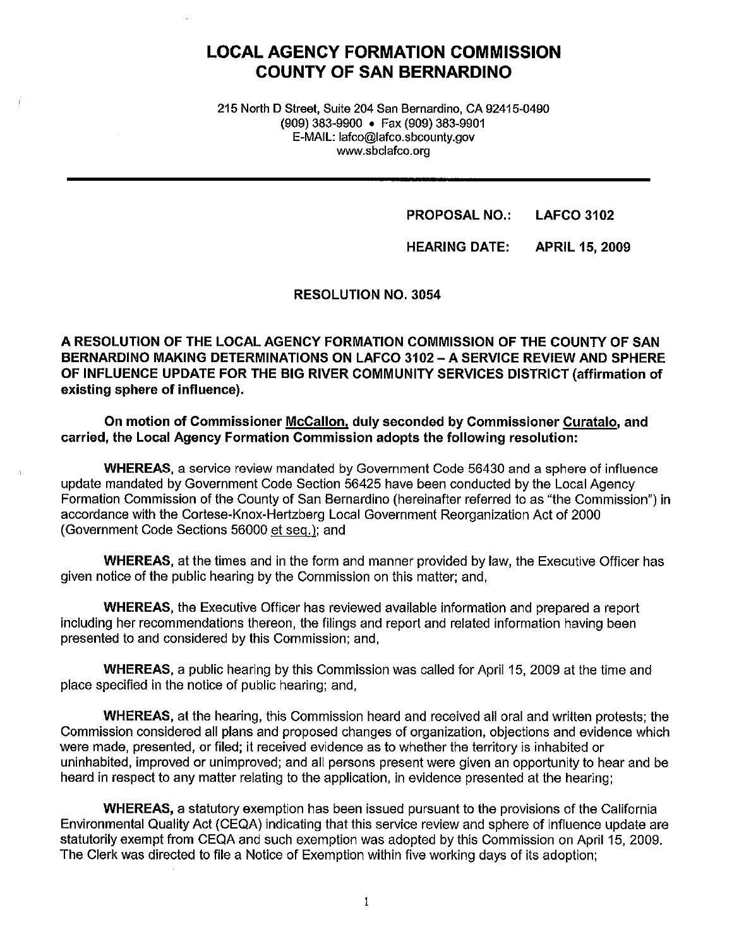# **LOCAL AGENCY FORMATION COMMISSION COUNTY OF SAN BERNARDINO**

215 North D Street, Suite 204 San Bernardino, CA 92415-0490 (909) 383-9900 • Fax (909) 383-9901 E-MAIL: lafco@lafco.sbcounty.gov www.sbclafco.org

> **PROPOSAL NO.: LAFCO 3102**

**HEARING DATE: APRIL 15, 2009** 

**RESOLUTION NO. 3054** 

**A RESOLUTION OF THE LOCAL AGENCY FORMATION COMMISSION OF THE COUNTY OF SAN BERNARDINO MAKING DETERMINATIONS ON LAFCO 3102 -A SERVICE REVIEW AND SPHERE OF INFLUENCE UPDATE FOR THE BIG RIVER COMMUNITY SERVICES DISTRICT (affirmation of existing sphere of influence).** 

**On motion of Commissioner McCallon, duly seconded by Commissioner Curatalo, and carried, the Local Agency Formation Commission adopts the following resolution:** 

**WHEREAS,** a service review mandated by Government Code 56430 and a sphere of influence update mandated by Government Code Section 56425 have been conducted by the Local Agency Formation Commission of the County of San Bernardino (hereinafter referred to as "the Commission") in accordance with the Cortese-Knox-Hertzberg Local Government Reorganization Act of 2000 (Government Code Sections 56000 et seq.): and

**WHEREAS,** at the times and in the form and manner provided by law, the Executive Officer has given notice of the public hearing by the Commission on this matter; and,

**WHEREAS,** the Executive Officer has reviewed available information and prepared a report including her recommendations thereon, the filings and report and related information having been presented to and considered by this Commission; and,

**WHEREAS,** a public hearing by this Commission was called for April 15, 2009 at the time and place specified in the notice of public hearing; and,

**WHEREAS,** at the hearing, this Commission heard and received all oral and written protests; the Commission considered all plans and proposed changes of organization, objections and evidence which were made, presented, or filed; it received evidence as to whether the territory is inhabited or uninhabited, improved or unimproved; and all persons present were given an opportunity to hear and be heard in respect to any matter relating to the application, in evidence presented at the hearing;

**WHEREAS,** a statutory exemption has been issued pursuant to the provisions of the California Environmental Quality Act (CEQA) indicating that this service review and sphere of influence update are statutorily exempt from CEQA and such exemption was adopted by this Commission on April 15, 2009. The Clerk was directed to file a Notice of Exemption within five working days of its adoption;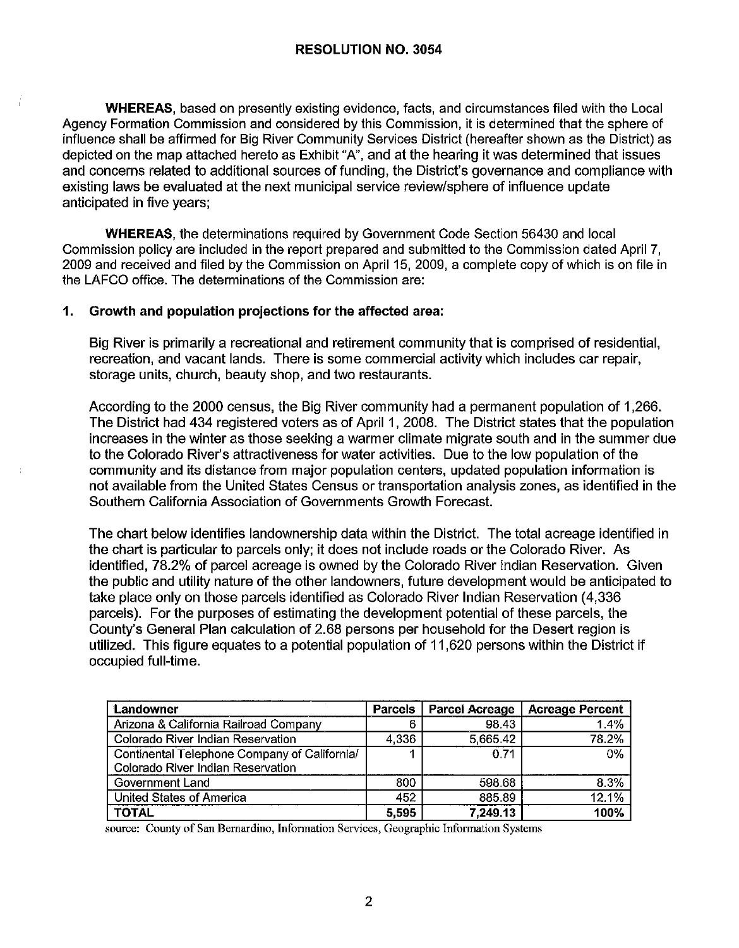**WHEREAS,** based on presently existing evidence, facts, and circumstances filed with the Local Agency Formation Commission and considered by this Commission, it is determined that the sphere of influence shall be affirmed for Big River Community Services District (hereafter shown as the District) as depicted on the map attached hereto as Exhibit "A", and at the hearing it was determined that issues and concerns related to additional sources of funding, the District's governance and compliance with existing laws be evaluated at the next municipal service review/sphere of influence update anticipated in five years;

**WHEREAS,** the determinations required by Government Code Section 56430 and local Commission policy are included in the report prepared and submitted to the Commission dated April 7, 2009 and received and filed by the Commission on April 15, 2009, a complete copy of which is on file in the LAFCO office. The determinations of the Commission are:

#### **1. Growth and population projections for the affected area:**

Big River is primarily a recreational and retirement community that is comprised of residential, recreation, and vacant lands. There is some commercial activity which includes car repair, storage units, church, beauty shop, and two restaurants.

According to the 2000 census, the Big River community had a permanent population of 1,266. The District had 434 registered voters as of April 1, 2008. The District states that the population increases in the winter as those seeking a warmer climate migrate south and in the summer due to the Colorado River's attractiveness for water activities. Due to the low population of the community and its distance from major population centers, updated population information is not available from the United States Census or transportation analysis zones, as identified in the Southern California Association of Governments Growth Forecast.

The chart below identifies landownership data within the District. The total acreage identified in the chart is particular to parcels only; it does not include roads or the Colorado River. As identified, 78.2% of parcel acreage is owned by the Colorado River Indian Reservation. Given the public and utility nature of the other landowners, future development would be anticipated to take place only on those parcels identified as Colorado River Indian Reservation (4,336 parcels). For the purposes of estimating the development potential of these parcels, the County's General Plan calculation of 2.68 persons per household for the Desert region is utilized. This figure equates to a potential population of 11,620 persons within the District if occupied full-time.

| Landowner                                    | <b>Parcels</b> | <b>Parcel Acreage</b> | <b>Acreage Percent</b> |
|----------------------------------------------|----------------|-----------------------|------------------------|
| Arizona & California Railroad Company        |                | 98.43                 | 1.4%                   |
| Colorado River Indian Reservation            | 4,336          | 5,665.42              | 78.2%                  |
| Continental Telephone Company of California/ |                | 0.71                  | 0%                     |
| Colorado River Indian Reservation            |                |                       |                        |
| Government Land                              | 800            | 598.68                | 8.3%                   |
| United States of America                     | 452            | 885.89                | 12.1%                  |
| <b>TOTAL</b>                                 | 5,595          | 7,249.13              | 100%                   |

source: County of San Bernardino, Information Services, Geographic Information Systems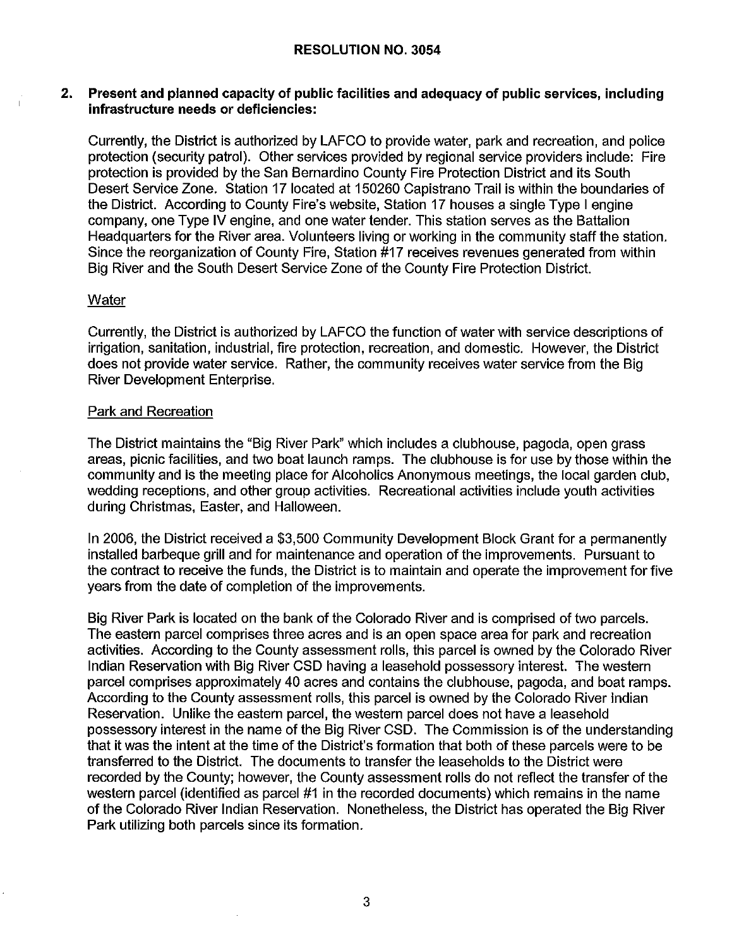#### **RESOLUTION NO. 3054**

#### **2. Present and planned capacity of public facilities and adequacy of public services, including infrastructure needs or deficiencies:**

Currently, the District is authorized by LAFCO to provide water, park and recreation, and police protection (security patrol). Other services provided by regional service providers include: Fire protection is provided by the San Bernardino County Fire Protection District and its South Desert Service Zone. Station 17 located at 150260 Capistrano Trail is within the boundaries of the District. According to County Fire's website, Station 17 houses a single Type I engine company, one Type IV engine, and one water tender. This station serves as the Battalion Headquarters for the River area. Volunteers living or working in the community staff the station. Since the reorganization of County Fire, Station #17 receives revenues generated from within Big River and the South Desert Service Zone of the County Fire Protection District.

#### **Water**

Currently, the District is authorized by LAFCO the function of water with service descriptions of irrigation, sanitation, industrial, fire protection, recreation, and domestic. However, the District does not provide water service. Rather, the community receives water service from the Big River Development Enterprise.

#### Park and Recreation

The District maintains the "Big River Park" which includes a clubhouse, pagoda, open grass areas, picnic facilities, and two boat launch ramps. The clubhouse is for use by those within the community and is the meeting place for Alcoholics Anonymous meetings, the local garden club, wedding receptions, and other group activities. Recreational activities include youth activities during Christmas, Easter, and Halloween.

In 2006, the District received a \$3,500 Community Development Block Grant for a permanently installed barbeque grill and for maintenance and operation of the improvements. Pursuant to the contract to receive the funds, the District is to maintain and operate the improvement for five years from the date of completion of the improvements.

Big River Park is located on the bank of the Colorado River and is comprised of two parcels. The eastern parcel comprises three acres and is an open space area for park and recreation activities. According to the County assessment rolls, this parcel is owned by the Colorado River Indian Reservation with Big River CSD having a leasehold possessory interest. The western parcel comprises approximately 40 acres and contains the clubhouse, pagoda, and boat ramps. According to the County assessment rolls, this parcel is owned by the Colorado River Indian Reservation. Unlike the eastern parcel, the western parcel does not have a leasehold possessory interest in the name of the Big River CSD. The Commission is of the understanding that it was the intent at the time of the District's formation that both of these parcels were to be transferred to the District. The documents to transfer the leaseholds to the District were recorded by the County; however, the County assessment rolls do not reflect the transfer of the western parcel (identified as parcel #1 in the recorded documents) which remains in the name of the Colorado River Indian Reservation. Nonetheless, the District has operated the Big River Park utilizing both parcels since its formation.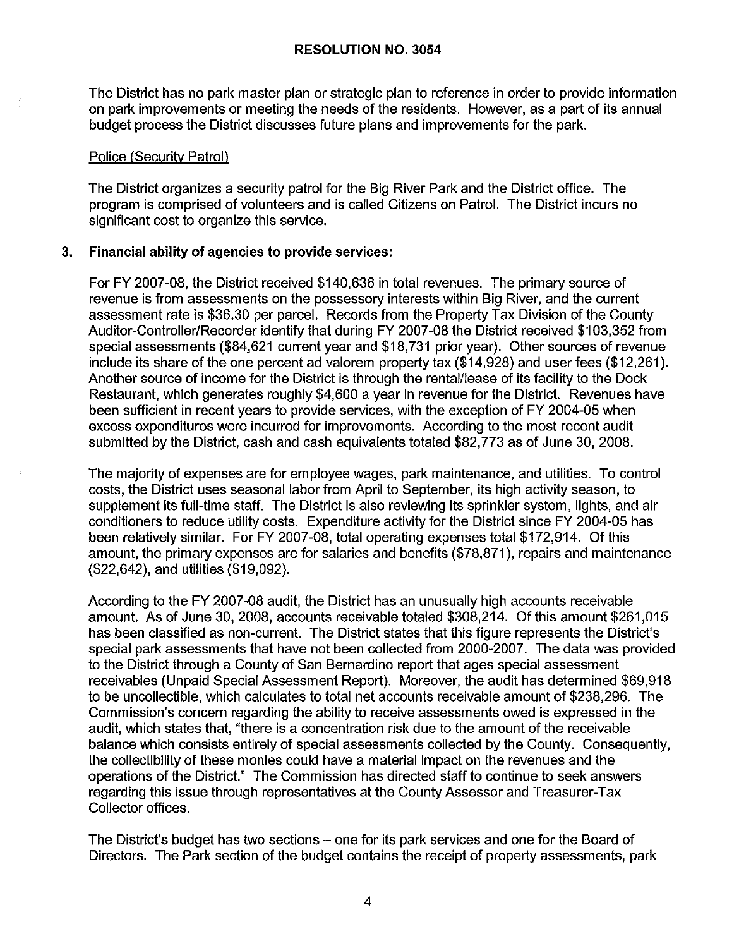The District has no park master plan or strategic plan to reference in order to provide information on park improvements or meeting the needs of the residents. However, as a part of its annual budget process the District discusses future plans and improvements for the park.

#### Police (Security Patrol}

The District organizes a security patrol for the Big River Park and the District office. The program is comprised of volunteers and is called Citizens on Patrol. The District incurs no significant cost to organize this service.

#### **3. Financial ability of agencies to provide services:**

For FY 2007-08, the District received \$140,636 in total revenues. The primary source of revenue is from assessments on the possessory interests within Big River, and the current assessment rate is \$36.30 per parcel. Records from the Property Tax Division of the County Auditor-Controller/Recorder identify that during FY 2007-08 the District received \$103,352 from special assessments (\$84,621 current year and \$18,731 prior year). Other sources of revenue include its share of the one percent ad valorem property tax (\$14,928) and user fees (\$12,261). Another source of income for the District is through the rental/lease of its facility to the Dock Restaurant, which generates roughly \$4,600 a year in revenue for the District. Revenues have been sufficient in recent years to provide services, with the exception of FY 2004-05 when excess expenditures were incurred for improvements. According to the most recent audit submitted by the District, cash and cash equivalents totaled \$82,773 as of June 30, 2008.

The majority of expenses are for employee wages, park maintenance, and utilities. To control costs, the District uses seasonal labor from April to September, its high activity season, to supplement its full-time staff. The District is also reviewing its sprinkler system, lights, and air conditioners to reduce utility costs. Expenditure activity for the District since FY 2004-05 has been relatively similar. For FY 2007-08, total operating expenses total \$172,914. Of this amount, the primary expenses are for salaries and benefits (\$78,871), repairs and maintenance (\$22,642), and utilities (\$19,092).

According to the FY 2007-08 audit, the District has an unusually high accounts receivable amount. As of June 30, 2008, accounts receivable totaled \$308,214. Of this amount \$261,015 has been classified as non-current. The District states that this figure represents the District's special park assessments that have not been collected from 2000-2007. The data was provided to the District through a County of San Bernardino report that ages special assessment receivables (Unpaid Special Assessment Report). Moreover, the audit has determined \$69,918 to be uncollectible, which calculates to total net accounts receivable amount of \$238,296. The Commission's concern regarding the ability to receive assessments owed is expressed in the audit, which states that, "there is a concentration risk due to the amount of the receivable balance which consists entirely of special assessments collected by the County. Consequently, the collectibility of these monies could have a material impact on the revenues and the operations of the District." The Commission has directed staff to continue to seek answers regarding this issue through representatives at the County Assessor and Treasurer-Tax Collector offices.

The District's budget has two sections – one for its park services and one for the Board of Directors. The Park section of the budget contains the receipt of property assessments, park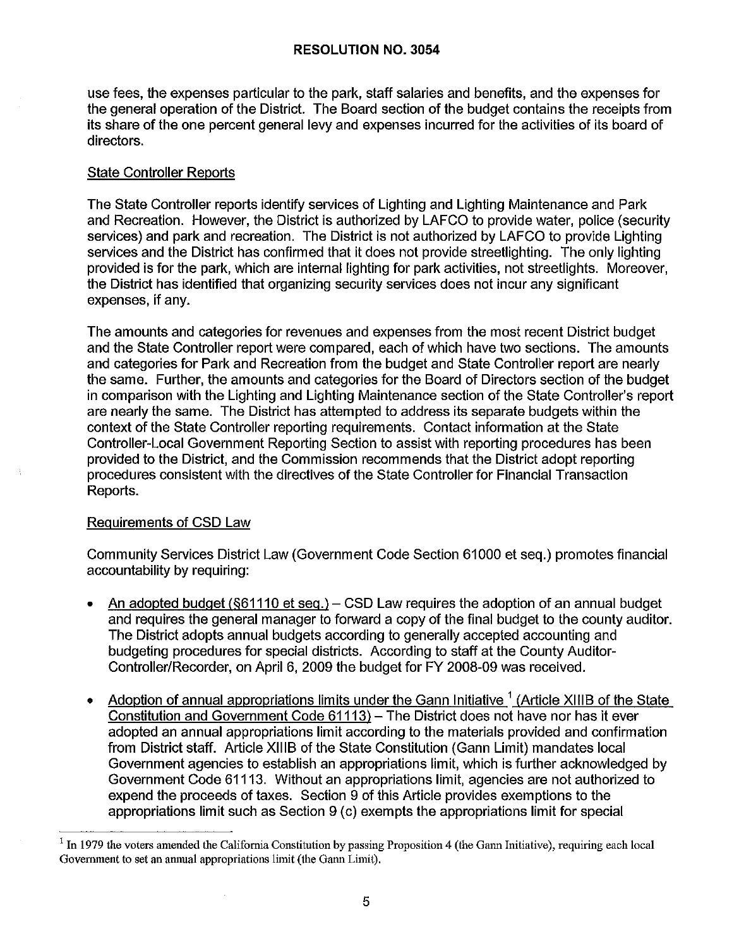use fees, the expenses particular to the park, staff salaries and benefits, and the expenses for the general operation of the District. The Board section of the budget contains the receipts from its share of the one percent general levy and expenses incurred for the activities of its board of directors.

# State Controller Reports

The State Controller reports identify services of Lighting and Lighting Maintenance and Park and Recreation. However, the District is authorized by LAFCO to provide water, police (security services) and park and recreation. The District is not authorized by LAFCO to provide Lighting services and the District has confirmed that it does not provide streetlighting. The only lighting provided is for the park, which are internal lighting for park activities, not streetlights. Moreover, the District has identified that organizing security services does not incur any significant expenses, if any.

The amounts and categories for revenues and expenses from the most recent District budget and the State Controller report were compared, each of which have two sections. The amounts and categories for Park and Recreation from the budget and State Controller report are nearly the same. Further, the amounts and categories for the Board of Directors section of the budget in comparison with the Lighting and Lighting Maintenance section of the State Controller's report are nearly the same. The District has attempted to address its separate budgets within the context of the State Controller reporting requirements. Contact information at the State Controller-Local Government Reporting Section to assist with reporting procedures has been provided to the District, and the Commission recommends that the District adopt reporting procedures consistent with the directives of the State Controller for Financial Transaction Reports.

# Requirements of CSD Law

Community Services District Law (Government Code Section 61000 et seq.) promotes financial accountability by requiring:

- An adopted budget ( $§61110$  et seq.) CSD Law requires the adoption of an annual budget and requires the general manager to forward a copy of the final budget to the county auditor. The District adopts annual budgets according to generally accepted accounting and budgeting procedures for special districts. According to staff at the County Auditor-Controller/Recorder, on April 6, 2009 the budget for FY 2008-09 was received.
- Adoption of annual appropriations limits under the Gann Initiative  $1$  (Article XIIIB of the State Constitution and Government Code 61113) - The District does not have nor has it ever adopted an annual appropriations limit according to the materials provided and confirmation from District staff. Article XIIIB of the State Constitution (Gann Limit) mandates local Government agencies to establish an appropriations limit, which is further acknowledged by Government Code 61113. Without an appropriations limit, agencies are not authorized to expend the proceeds of taxes. Section 9 of this Article provides exemptions to the appropriations limit such as Section 9 (c) exempts the appropriations limit for special

 $<sup>1</sup>$  In 1979 the voters amended the California Constitution by passing Proposition 4 (the Gann Initiative), requiring each local</sup> Government to set an annual appropriations limit (the Gann Limit).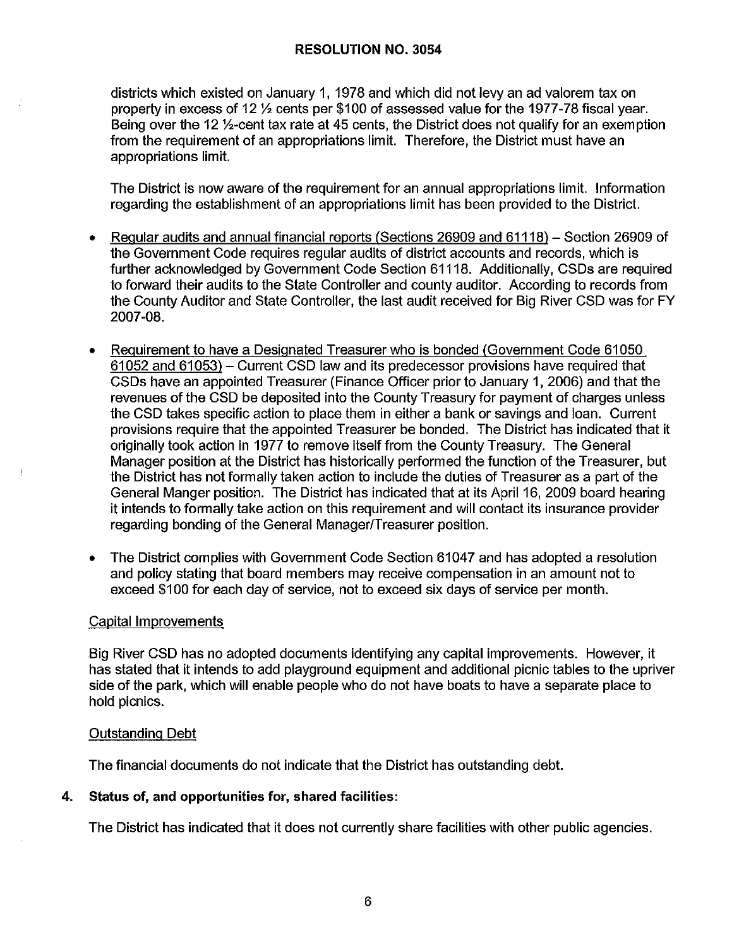districts which existed on January 1, 1978 and which did not levy an ad valorem tax on property in excess of 12 ½ cents per \$100 of assessed value for the 1977-78 fiscal year. Being over the 12 ½-cent tax rate at 45 cents, the District does not qualify for an exemption from the requirement of an appropriations limit. Therefore, the District must have an appropriations limit.

The District is now aware of the requirement for an annual appropriations limit. Information regarding the establishment of an appropriations limit has been provided to the District.

- Regular audits and annual financial reports (Sections 26909 and 61118) Section 26909 of the Government Code requires regular audits of district accounts and records, which is further acknowledged by Government Code Section 61118. Additionally, CSDs are required to forward their audits to the State Controller and county auditor. According to records from the County Auditor and State Controller, the last audit received for Big River CSD was for FY 2007-08.
- Requirement to have a Designated Treasurer who is bonded (Government Code 61050 61052 and 61053) - Current CSD law and its predecessor provisions have required that CSDs have an appointed Treasurer (Finance Officer prior to January 1, 2006) and that the revenues of the CSD be deposited into the County Treasury for payment of charges unless the CSD takes specific action to place them in either a bank or savings and loan. Current provisions require that the appointed Treasurer be bonded. The District has indicated that it originally took action in 1977 to remove itself from the County Treasury. The General Manager position at the District has historically performed the function of the Treasurer, but the District has not formally taken action to include the duties of Treasurer as a part of the General Manger position. The District has indicated that at its April 16, 2009 board hearing it intends to formally take action on this requirement and will contact its insurance provider regarding bonding of the General Manager/Treasurer position.
- The District complies with Government Code Section 61047 and has adopted a resolution and policy stating that board members may receive compensation in an amount not to exceed \$100 for each day of service, not to exceed six days of service per month.

#### Capital Improvements

Big River CSD has no adopted documents identifying any capital improvements. However, it has stated that it intends to add playground equipment and additional picnic tables to the upriver side of the park, which will enable people who do not have boats to have a separate place to hold picnics.

#### Outstanding Debt

The financial documents do not indicate that the District has outstanding debt.

**4. Status of, and opportunities for, shared facilities:** 

The District has indicated that it does not currently share facilities with other public agencies.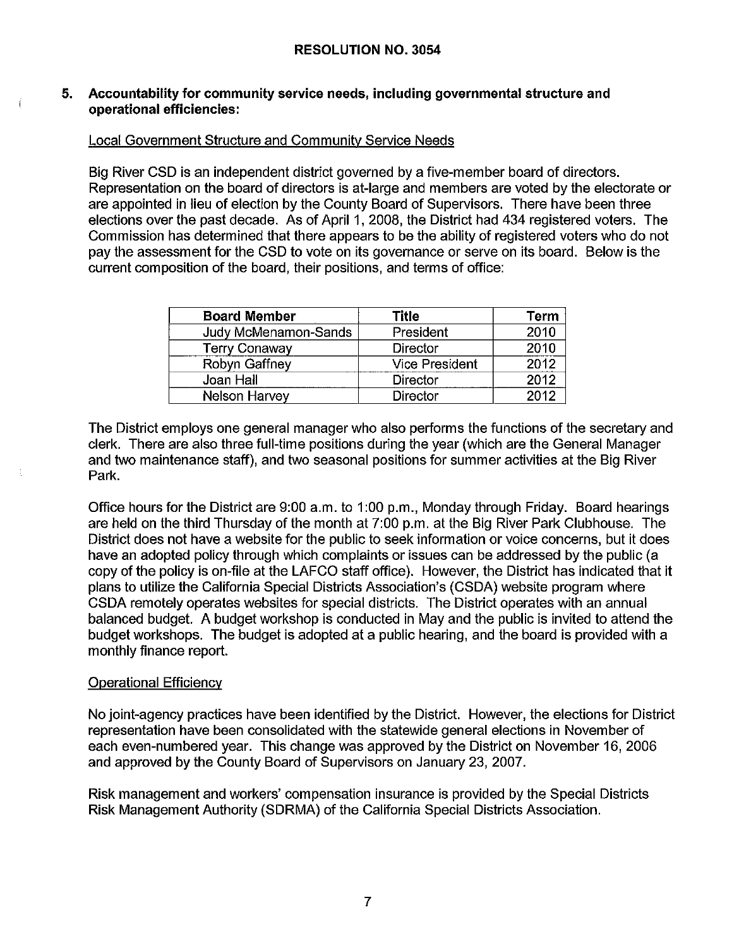#### **5. Accountability for community service needs, including governmental structure and operational efficiencies:**

## Local Government Structure and Community Service Needs

Big River CSD is an independent district governed by a five-member board of directors. Representation on the board of directors is at-large and members are voted by the electorate or are appointed in lieu of election by the County Board of Supervisors. There have been three elections over the past decade. As of April 1, 2008, the District had 434 registered voters. The Commission has determined that there appears to be the ability of registered voters who do not pay the assessment for the CSD to vote on its governance or serve on its board. Below is the current composition of the board, their positions, and terms of office:

| <b>Board Member</b>  | Title                 | <b>Term</b> |
|----------------------|-----------------------|-------------|
| Judy McMenamon-Sands | President             | 2010        |
| <b>Terry Conaway</b> | <b>Director</b>       | 2010        |
| Robyn Gaffney        | <b>Vice President</b> | 2012        |
| Joan Hall            | <b>Director</b>       | 2012        |
| <b>Nelson Harvey</b> | Director              | 2012        |

The District employs one general manager who also performs the functions of the secretary and clerk. There are also three full-time positions during the year {which are the General Manager and two maintenance staff), and two seasonal positions for summer activities at the Big River Park.

Office hours for the District are 9:00 a.m. to 1 :00 p.m., Monday through Friday. Board hearings are held on the third Thursday of the month at 7:00 p.m. at the Big River Park Clubhouse. The District does not have a website for the public to seek information or voice concerns, but it does have an adopted policy through which complaints or issues can be addressed by the public (a copy of the policy is on-file at the LAFCO staff office). However, the District has indicated that it plans to utilize the California Special Districts Association's (CSDA) website program where CSDA remotely operates websites for special districts. The District operates with an annual balanced budget. A budget workshop is conducted in May and the public is invited to attend the budget workshops. The budget is adopted at a public hearing, and the board is provided with a monthly finance report.

#### Operational Efficiency

No joint-agency practices have been identified by the District. However, the elections for District representation have been consolidated with the statewide general elections in November of each even-numbered year. This change was approved by the District on November 16, 2006 and approved by the County Board of Supervisors on January 23, 2007.

Risk management and workers' compensation insurance is provided by the Special Districts Risk Management Authority (SDRMA) of the California Special Districts Association.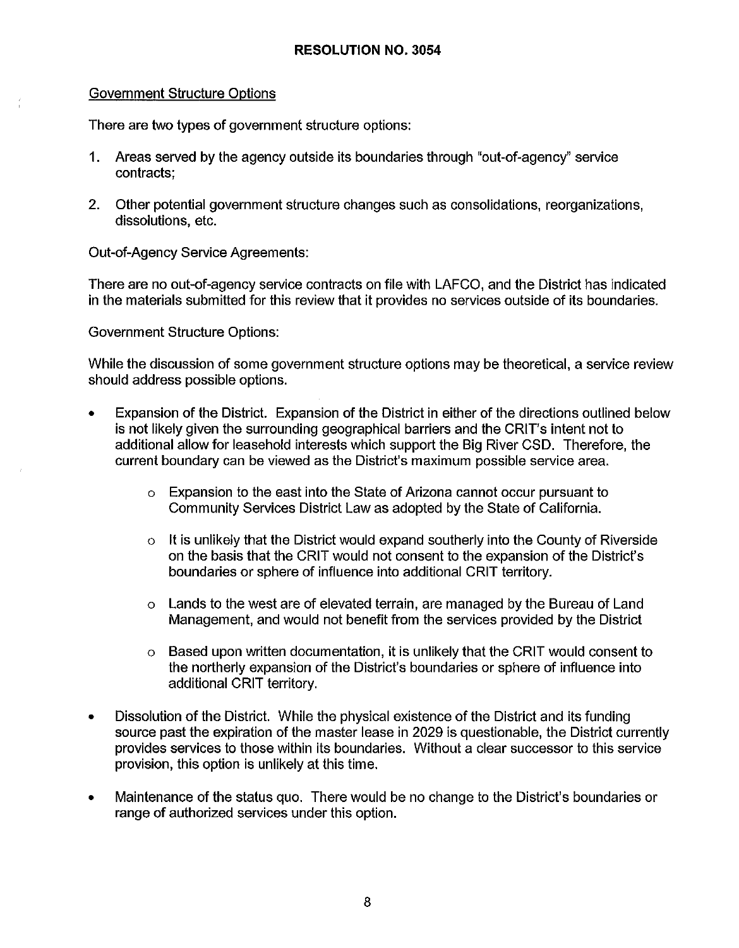## Government Structure Options

There are two types of government structure options:

- 1. Areas served by the agency outside its boundaries through "out-of-agency" service contracts;
- 2. Other potential government structure changes such as consolidations, reorganizations, dissolutions, etc.

Out-of-Agency Service Agreements:

There are no out-of-agency service contracts on file with LAFCO, and the District has indicated in the materials submitted for this review that it provides no services outside of its boundaries.

Government Structure Options:

While the discussion of some government structure options may be theoretical, a service review should address possible options.

- Expansion of the District. Expansion of the District in either of the directions outlined below is not likely given the surrounding geographical barriers and the CRIT's intent not to additional allow for leasehold interests which support the Big River CSD. Therefore, the current boundary can be viewed as the District's maximum possible service area.
	- o Expansion to the east into the State of Arizona cannot occur pursuant to Community Services District Law as adopted by the State of California.
	- o It is unlikely that the District would expand southerly into the County of Riverside on the basis that the GRIT would not consent to the expansion of the District's boundaries or sphere of influence into additional GRIT territory.
	- o Lands to the west are of elevated terrain, are managed by the Bureau of Land Management, and would not benefit from the services provided by the District
	- Based upon written documentation, it is unlikely that the CRIT would consent to the northerly expansion of the District's boundaries or sphere of influence into additional GRIT territory.
- Dissolution of the District. While the physical existence of the District and its funding source past the expiration of the master lease in 2029 is questionable, the District currently provides services to those within its boundaries. Without a clear successor to this service provision, this option is unlikely at this time.
- Maintenance of the status quo. There would be no change to the District's boundaries or range of authorized services under this option.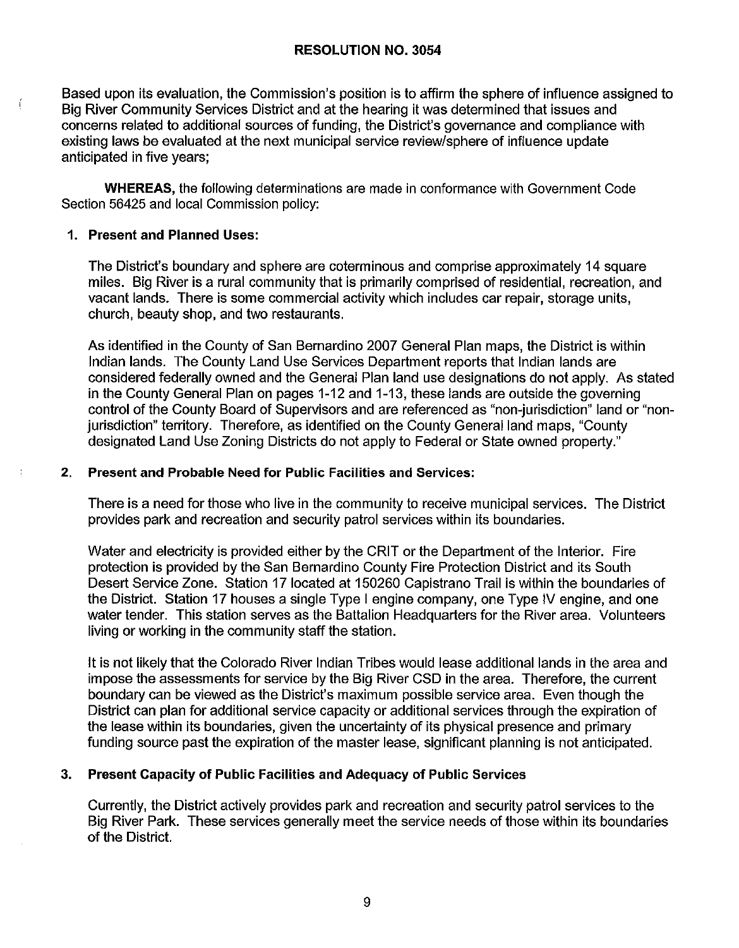#### **RESOLUTION NO. 3054**

Based upon its evaluation, the Commission's position is to affirm the sphere of influence assigned to Big River Community Services District and at the hearing it was determined that issues and concerns related to additional sources of funding, the District's governance and compliance with existing laws be evaluated at the next municipal service review/sphere of influence update anticipated in five years;

**WHEREAS,** the following determinations are made in conformance with Government Code Section 56425 and local Commission policy:

### **1. Present and Planned Uses:**

The District's boundary and sphere are coterminous and comprise approximately 14 square miles. Big River is a rural community that is primarily comprised of residential, recreation, and vacant lands. There is some commercial activity which includes car repair, storage units, church, beauty shop, and two restaurants.

As identified in the County of San Bernardino 2007 General Plan maps, the District is within Indian lands. The County Land Use Services Department reports that Indian lands are considered federally owned and the General Plan land use designations do not apply. As staled in the County General Plan on pages 1-12 and 1-13, these lands are outside the governing control of the County Board of Supervisors and are referenced as "non-jurisdiction" land or "nonjurisdiction" territory. Therefore, as identified on the County General land maps, "County designated Land Use Zoning Districts do not apply to Federal or State owned property."

## **2. Present and Probable Need for Public Facilities and Services:**

There is a need for those who live in the community to receive municipal services. The District provides park and recreation and security patrol services within its boundaries.

Water and electricity is provided either by the CRIT or the Department of the Interior. Fire protection is provided by the San Bernardino County Fire Protection District and its South Desert Service Zone. Station 17 located at 150260 Capistrano Trail is within the boundaries of the District. Station 17 houses a single Type I engine company, one Type IV engine, and one water tender. This station serves as the Battalion Headquarters for the River area. Volunteers living or working in the community staff the station.

It is not likely that the Colorado River Indian Tribes would lease additional lands in the area and impose the assessments for service by the Big River CSD in the area. Therefore, the current boundary can be viewed as the District's maximum possible service area. Even though the District can plan for additional service capacity or additional services through the expiration of the lease within its boundaries, given the uncertainty of its physical presence and primary funding source past the expiration of the master lease, significant planning is not anticipated.

# **3. Present Capacity of Public Facilities and Adequacy of Public Services**

Currently, the District actively provides park and recreation and security patrol services to the Big River Park. These services generally meet the service needs of those within its boundaries of the District.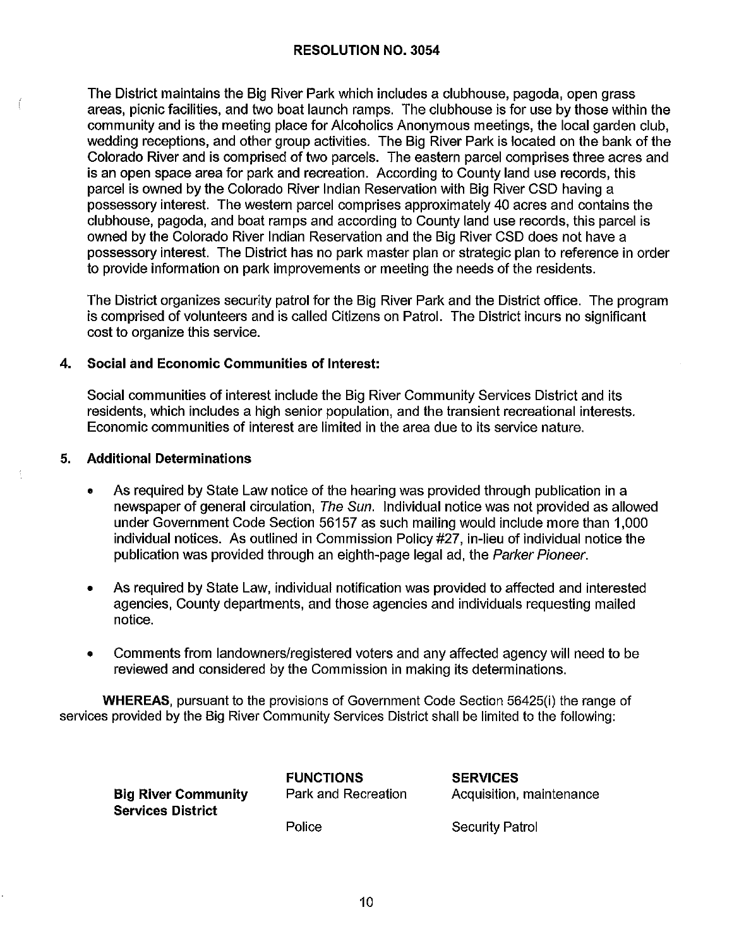The District maintains the Big River Park which includes a clubhouse, pagoda, open grass areas, picnic facilities, and two boat launch ramps. The clubhouse is for use by those within the community and is the meeting place for Alcoholics Anonymous meetings, the local garden club, wedding receptions, and other group activities. The Big River Park is located on the bank of the Colorado River and is comprised of two parcels. The eastern parcel comprises three acres and is an open space area for park and recreation. According to County land use records, this parcel is owned by the Colorado River Indian Reservation with Big River CSD having a possessory interest. The western parcel comprises approximately 40 acres and contains the clubhouse, pagoda, and boat ramps and according to County land use records, this parcel is owned by the Colorado River Indian Reservation and the Big River CSD does not have a possessory interest. The District has no park master plan or strategic plan to reference in order to provide information on park improvements or meeting the needs of the residents.

The District organizes security patrol for the Big River Park and the District office. The program is comprised of volunteers and is called Citizens on Patrol. The District incurs no significant cost to organize this service.

#### **4. Social and Economic Communities of Interest:**

Social communities of interest include the Big River Community Services District and its residents, which includes a high senior population, and the transient recreational interests. Economic communities of interest are limited in the area due to its service nature.

#### **5. Additional Determinations**

- As required by State Law notice of the hearing was provided through publication in a newspaper of general circulation, The Sun. Individual notice was not provided as allowed under Government Code Section 56157 as such mailing would include more than 1,000 individual notices. As outlined in Commission Policy #27, in-lieu of individual notice the publication was provided through an eighth-page legal ad, the Parker Pioneer.
- As required by State Law, individual notification was provided to affected and interested agencies, County departments, and those agencies and individuals requesting mailed notice.
- Comments from landowners/registered voters and any affected agency will need to be reviewed and considered by the Commission in making its determinations.

**WHEREAS,** pursuant to the provisions of Government Code Section 56425(i) the range of services provided by the Big River Community Services District shall be limited to the following:

| Big River Community | <b>FUNCTIONS</b>    | <b>SERVICES</b>          |  |
|---------------------|---------------------|--------------------------|--|
| Services District   | Park and Recreation | Acquisition, maintenance |  |
|                     | Police              | Security Patrol          |  |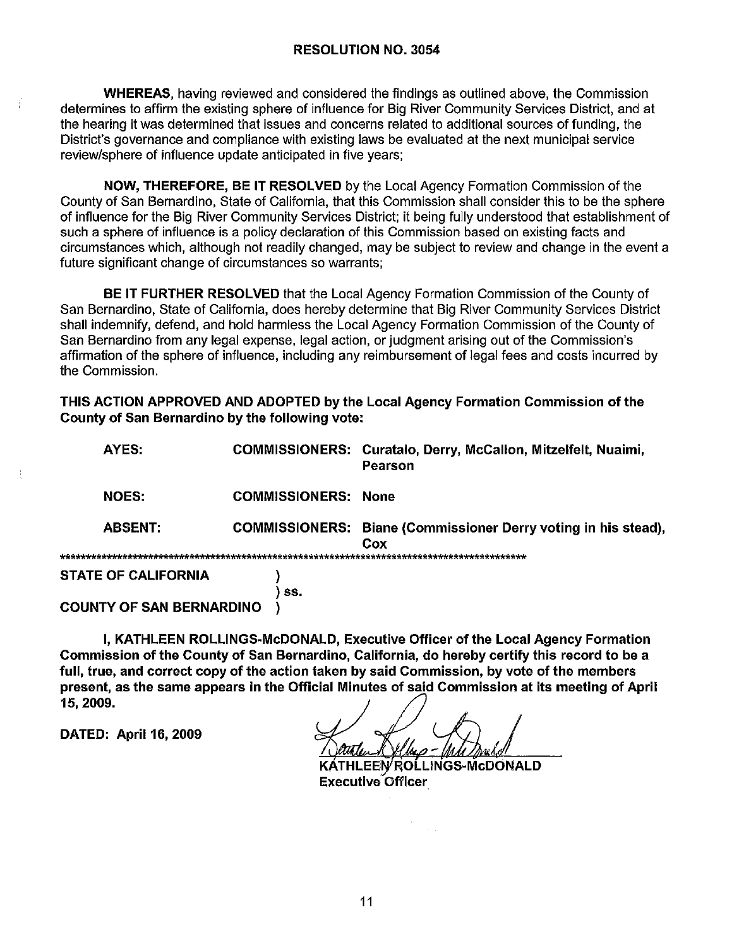**WHEREAS**, having reviewed and considered the findings as outlined above, the Commission determines to affirm the existing sphere of influence for Big River Community Services District, and at the hearing it was determined that issues and concerns related to additional sources of funding, the District's governance and compliance with existing laws be evaluated at the next municipal service review/sphere of influence update anticipated in five years;

**NOW, THEREFORE, BE IT RESOLVED** by the Local Agency Formation Commission of the County of San Bernardino, State of California, that this Commission shall consider this to be the sphere of influence for the Big River Community Services District: it being fully understood that establishment of such a sphere of influence is a policy declaration of this Commission based on existing facts and circumstances which, although not readily changed, may be subject to review and change in the event a future significant change of circumstances so warrants:

**BE IT FURTHER RESOLVED** that the Local Agency Formation Commission of the County of San Bernardino, State of California, does hereby determine that Big River Community Services District shall indemnify, defend, and hold harmless the Local Agency Formation Commission of the County of San Bernardino from any legal expense, legal action, or judgment arising out of the Commission's affirmation of the sphere of influence, including any reimbursement of legal fees and costs incurred by the Commission.

THIS ACTION APPROVED AND ADOPTED by the Local Agency Formation Commission of the County of San Bernardino by the following vote:

| AYES:                           |                            | COMMISSIONERS: Curatalo, Derry, McCallon, Mitzelfelt, Nuaimi,<br>Pearson     |
|---------------------------------|----------------------------|------------------------------------------------------------------------------|
| <b>NOES:</b>                    | <b>COMMISSIONERS: None</b> |                                                                              |
| <b>ABSENT:</b>                  |                            | <b>COMMISSIONERS:</b> Biane (Commissioner Derry voting in his stead),<br>Cox |
|                                 |                            |                                                                              |
| <b>STATE OF CALIFORNIA</b>      |                            |                                                                              |
|                                 | SS.                        |                                                                              |
| <b>COUNTY OF SAN BERNARDINO</b> |                            |                                                                              |

I, KATHLEEN ROLLINGS-McDONALD, Executive Officer of the Local Agency Formation Commission of the County of San Bernardino, California, do hereby certify this record to be a full, true, and correct copy of the action taken by said Commission, by vote of the members present, as the same appears in the Official Minutes of said Commission at its meeting of April 15, 2009.

DATED: April 16, 2009

 $\frac{1}{4}$ 

Delhio-Muti

KÁTHLEEN ROLLINGS-McDONALD **Executive Officer**